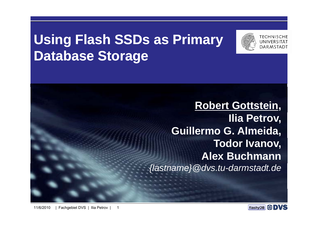# **U i <sup>s</sup> ng Fl h as SSDs as P ir mary Database Storage**



**Robert Gottstein, Ilia Petrov, Guillermo G. Almeida, Todor Ivanov, Alex Buchmann***{lastname}@dvs.tu-darmstadt.de*

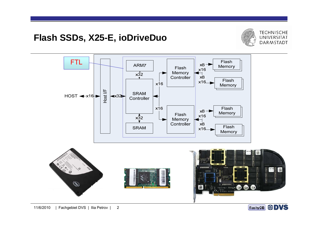#### **Fl h as SSDs, X25-E, i Di D <sup>o</sup> <sup>r</sup> veDuo**





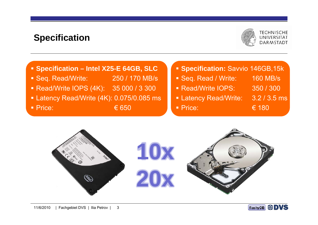#### **Specification**



#### **Specification – Intel X25-E 64GB, SLC**

- Seq. Read/Write: 250 / 170 MB/s
- Read/Write IOPS (4K): 35 000 / 3 300 Read/Write IOPS: 350 / 300
- Latency Read/Write (4K): 0.075/0.085 ms
- **Price:**  $\epsilon$  650

#### **Specification:** Savvio 146GB,15k

- **Seq. Read / Write: 160 MB/s**
- Read/Write IOPS: 350 / 300
- **Latency Read/Write: 3.2 / 3.5 ms**
- **Price:**  $\epsilon$  180
- $\epsilon$  180



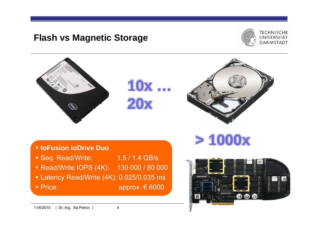#### **Fl h as vs M ti St Magnetic Storage**





• Price:

11/6/2010 | Dr.-Ing. Ilia Petrov | 4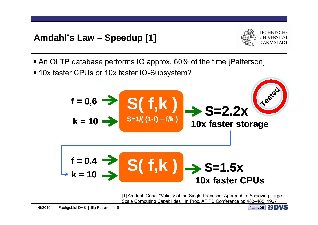## **A d hl' L Amdahl's Law – S d [1] Speedup**



- An OLTP database performs IO approx. 60% of the time [Patterson]
- 10x faster CPUs or 10x faster IO-Subsystem?



[1] Amdahl, Gene. "Validity of the Single Processor Approach to Achieving Large-Scale Computing Capabilities". In Proc. AFIPS Conference pp.483–485. 1967

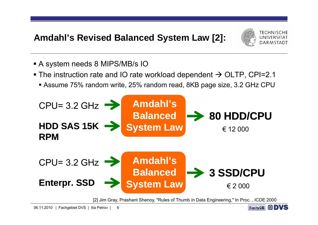### **Amdahl's Revised Balanced System Law [2]:**



- A system needs 8 MIPS/MB/s IO
- $\blacktriangleright$  The instruction rate and IO rate workload dependent  $\rightarrow$  OLTP, CPI=2.1
	- **Assume 75% random write, 25% random read, 8KB page size, 3.2 GHz CPU**



[2] Jim Gray, Prashant Shenoy, "Rules of Thumb in Data Engineering," In Proc. , ICDE 2000

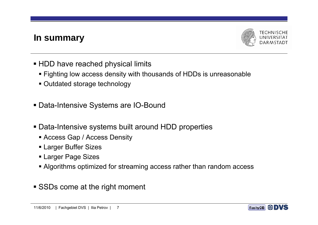#### **In summary**



- $\blacksquare$  HDD have reached physical limits
	- Fighting low access density with thousands of HDDs is unreasonable
	- Outdated storage technology
- Data-Intensive Systems are IO-Bound
- Data-Intensive systems built around HDD properties
	- Access Gap / Access Density
	- Larger Buffer Sizes
	- Larger Page Sizes
	- Algorithms optimized for streaming access rather than random access
- **SSDs come at the right moment**

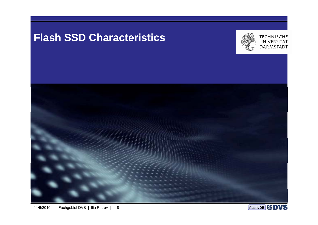## **Flash SSD Characteristics**





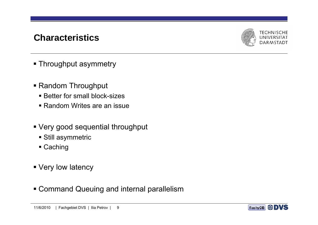#### **Ch t i ti Characteristics**



- **Throughput asymmetry**
- Random Throughput
	- **Better for small block-sizes**
	- Random Writes are an issue
- Very good sequential throughput
	- Still asymmetric
	- Caching
- **Very low latency**
- Command Queuing and internal parallelism

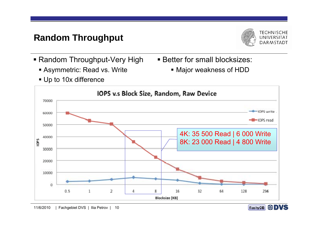#### **R d Th h t Random Throughput**



- Random Throughput-Very High very Better for small blocksizes:
	- Asymmetric: Read vs. Write
- **Better for small blocksizes:** 
	- Major weakness of HDD

Up to 10x difference



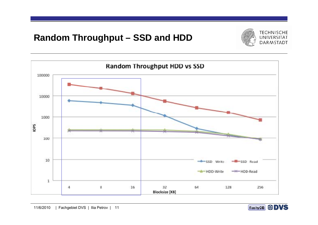#### **R d Th h t Ran dom Throug hpu t – SSD d HDD SSD an**





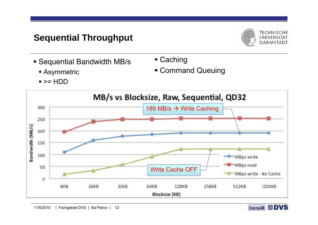#### **S ti l Th h t Sequenti al Throug hpu**



- Sequential Bandwidth MB/ s Caching
- 

Asymmetric

Command Queuing

>= HDD

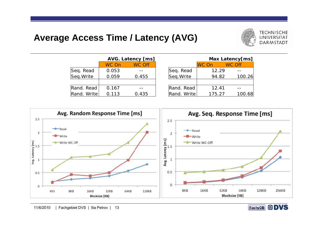#### **A A Ti / L t (AVG) Average Access Time a tency**



|                         |       | <b>AVG. Latency [ms]</b> |
|-------------------------|-------|--------------------------|
|                         | WC On | <b>WC</b> Off            |
|                         | 0.053 |                          |
| Seq. Read<br>Seq. Write | 0.059 | 0.455                    |
|                         |       |                          |
| Rand. Read              | 0.167 |                          |
| Rand. Write             | 0.113 | 0.435                    |

|    | <b>S. Latency [ms]</b> |                         |        |        | Max Latency[ms] |
|----|------------------------|-------------------------|--------|--------|-----------------|
| )n | <b>WC Off</b>          |                         | WC On  | WC Off |                 |
| 3  |                        |                         | 12.29  |        |                 |
| 9  | 0.455                  | Seq. Read<br>Seq. Write | 94.82  |        | 100.26          |
|    |                        |                         |        |        |                 |
| 7  |                        | Rand. Read              | 12.41  |        |                 |
| 3  | 0.435                  | Rand. Write             | 175.27 |        | 100.68          |



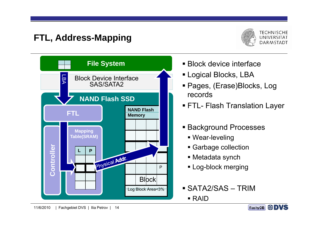## **FTL Add FTL, Address-M i app ng**





- **Block device interface** •
- Logical Blocks, LBA
- Pages, (Erase)Blocks, Log
- FTL- Flash Translation Layer
- **Background Processes** 
	- Wear-leveling
	- **Garbage collection**
	- Metadata synch
	- **Log-block merging**
- SATA2/SAS TRIMRAID

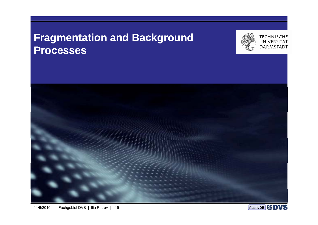## **Fragmentation and Background Processes**





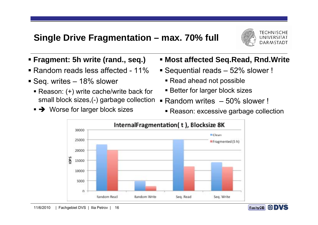#### Single Drive Fragmentation – max. 70% full



- **Fragment: 5h write (rand., seq.)**
- Random reads less affected 11%
- Seq. writes 18% slower
	- Reason: (+) write cache/write back for small block sizes,(-) garbage collection
	- → Worse for larger block sizes
- **Most affected Seq.Read, Rnd.Write**
- Sequential reads 52% slower !
	- Read ahead not possible
	- **Better for larger block sizes**
- ٠ Random writes – 50% slower !
	- Reason: excessive garbage collection



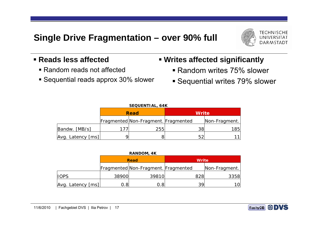#### Single Drive Fragmentation – over 90% full



#### **Reads less affected**

- Random reads not affected
- **Sequential reads approx 30% slower**

#### **Writes affected significantly**

- Random writes 75% slower
- **Sequential writes 79% slower**

| <b>SEQUENTIAL, 64K</b> |  |                                     |              |               |  |  |  |  |  |
|------------------------|--|-------------------------------------|--------------|---------------|--|--|--|--|--|
|                        |  | <b>Read</b>                         | <b>Write</b> |               |  |  |  |  |  |
|                        |  | Fragmented Non-Fragment. Fragmented |              | Non-Fragment. |  |  |  |  |  |
| Bandw. [MB/s]          |  | 255                                 | 38           | 185           |  |  |  |  |  |
| Avg. Latency [ms]      |  |                                     | 52           |               |  |  |  |  |  |

| RANDOM, 4K |  |
|------------|--|
|------------|--|

|                   |       | <b>Read</b>                         | <b>Write</b> |               |  |  |
|-------------------|-------|-------------------------------------|--------------|---------------|--|--|
|                   |       | Fragmented Non-Fragment. Fragmented |              | Non-Fragment. |  |  |
| <b>IOPS</b>       | 38900 | 39810                               | 828          | 3358          |  |  |
| Avg. Latency [ms] | ). 8l | 0.8                                 | 39           | 10            |  |  |

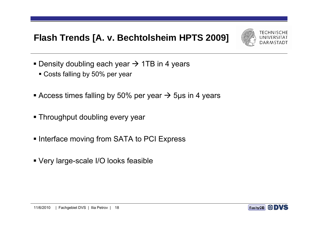#### Flash Trends [A. v. Bechtolsheim HPTS 2009]



- **•** Density doubling each year  $\rightarrow$  1TB in 4 years
	- Costs falling by 50% per year
- **-** Access times falling by 50% per year  $\rightarrow$  5µs in 4 years
- **Throughput doubling every year**
- **Interface moving from SATA to PCI Express**
- Very large-scale I/O looks feasible

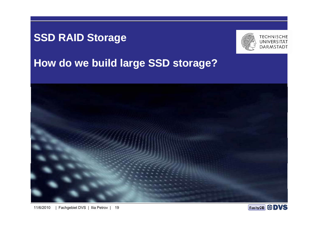## **SSD RAID Storage**



# **How do we build large SSD storage?**



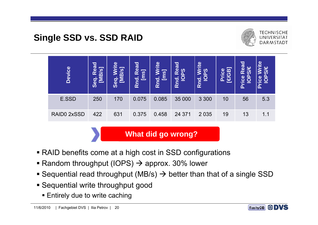#### **Si l SSD SSD RAID Single SSD vs.**



| <b>Device</b> | ರ<br><b>B</b><br>$\overline{\boldsymbol{\omega}}$<br>œ<br>$\overline{\mathbf{o}}$<br>$\bar{\mathbf{0}}$<br><b>VD</b> | $\overline{\mathbf{e}}$<br>œ<br>$\overline{\bm{S}}$<br>≥<br>О<br>ď<br>ທ | <b>bead</b><br>$\overline{\mathcal{G}}$<br>—,<br>pq<br>$\alpha$ | $\mathbf{e}$<br><u> ෆ</u><br>ਠ<br>Rn | pea<br>ທ<br>O<br>RÑ | $\mathbf{e}$<br>$\overline{\mathsf{s}}$<br>$\boldsymbol{\omega}$<br><u>୦</u><br>Rnd. | $\overline{\mathbf{m}}$<br>ω<br>ie<br>D<br>ረካ<br>Δ | <b>Dea</b><br>$\Psi$<br>œ<br>ഗ<br>a<br>O<br>$\boldsymbol{\omega}$<br>Ō<br>$\boldsymbol{\varphi}$ | $\boldsymbol{\omega}$<br>æ<br>W<br>œ<br>ው |
|---------------|----------------------------------------------------------------------------------------------------------------------|-------------------------------------------------------------------------|-----------------------------------------------------------------|--------------------------------------|---------------------|--------------------------------------------------------------------------------------|----------------------------------------------------|--------------------------------------------------------------------------------------------------|-------------------------------------------|
| E.SSD         | 250                                                                                                                  | 170                                                                     | 0.075                                                           | 0.085                                | 35 000              | 3 3 0 0                                                                              | 10                                                 | 56                                                                                               | 5.3                                       |
| RAID0 2xSSD   | 422                                                                                                                  | 631                                                                     | 0.375                                                           | 0.458                                | 24 371              | 2 0 3 5                                                                              | 19                                                 | 13                                                                                               | 1.1                                       |

**What did go wron g ? g** 

- RAID benefits come at a high cost in SSD configurations
- **Random throughput (IOPS)**  $\rightarrow$  **approx. 30% lower**
- **-** Sequential read throughput (MB/s)  $\rightarrow$  better than that of a single SSD
- **Sequential write throughput good** 
	- **Entirely due to write caching**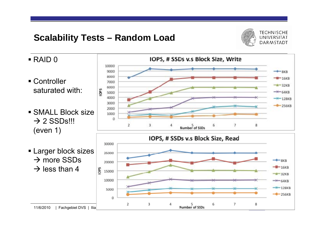#### **Scalability Tests – Random Load**



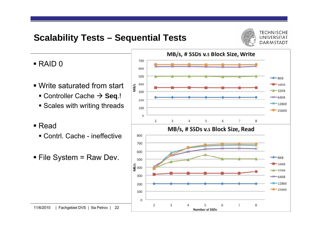#### **S l bilit T t Scalability Tests – S ti l T t Sequential Tests**



**TECHNISCHE** UNIVERSITÄT **DARMSTADT** 

- RAID 0
- Write saturated from start
	- Controller Cache → Seq.!
	- **Scales with writing threads**
- $\blacksquare$  Read
	- Contrl. Cache ineffective
- File System = Raw Dev.

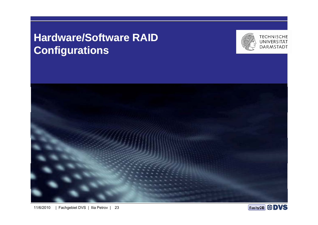## **Hardware/Software RAID Configurations**



**TECHNISCHE** UNIVERSITÄT **DARMSTADT** 



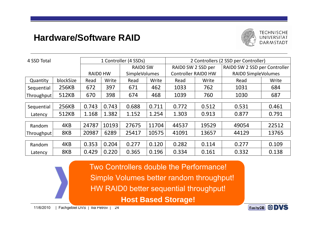#### **Hardware/Software RAID**



| 4 SSD Total |           | 1 Controller (4 SSDs) |       |                      | 2 Controllers (2 SSD per Controller) |                            |       |                               |       |
|-------------|-----------|-----------------------|-------|----------------------|--------------------------------------|----------------------------|-------|-------------------------------|-------|
|             |           |                       |       | <b>RAIDO SW</b>      |                                      | RAIDO SW 2 SSD per         |       | RAIDO SW 2 SSD per Controller |       |
|             |           | <b>RAIDO HW</b>       |       | <b>SimpleVolumes</b> |                                      | <b>Controller RAIDO HW</b> |       | <b>RAIDO SimpleVolumes</b>    |       |
| Quantity    | blockSize | Read                  | Write | Read                 | Write                                | Read                       | Write | Read                          | Write |
| Sequential  | 256KB     | 672                   | 397   | 671                  | 462                                  | 1033                       | 762   | 1031                          | 684   |
| Throughput  | 512KB     | 670                   | 398   | 674                  | 468                                  | 1039                       | 760   | 1030                          | 687   |
|             |           |                       |       |                      |                                      |                            |       |                               |       |
| Sequential  | 256KB     | 0.743                 | 0.743 | 0.688                | 0.711                                | 0.772                      | 0.512 | 0.531                         | 0.461 |
| Latency     | 512KB     | 1.168                 | 1.382 | 1.152                | 1.254                                | 1.303                      | 0.913 | 0.877                         | 0.791 |
|             |           |                       |       |                      |                                      |                            |       |                               |       |
| Random      | 4KB       | 24787                 | 10193 | 27675                | 11704                                | 44537                      | 19529 | 49054                         | 22512 |
| Throughput  | 8KB       | 20987                 | 6289  | 25417                | 10575                                | 41091                      | 13657 | 44129                         | 13765 |
|             |           |                       |       |                      |                                      |                            |       |                               |       |
| Random      | 4KB       | 0.353                 | 0.204 | 0.277                | 0.120                                | 0.282                      | 0.114 | 0.277                         | 0.109 |
| Latency     | 8KB       | 0.429                 | 0.220 | 0.365                | 0.196                                | 0.334                      | 0.161 | 0.332                         | 0.138 |

Two Controllers double the Performance! Simple Volumes better random throughput! HW RAID0 better sequential throughput! **Host Based Storage!**